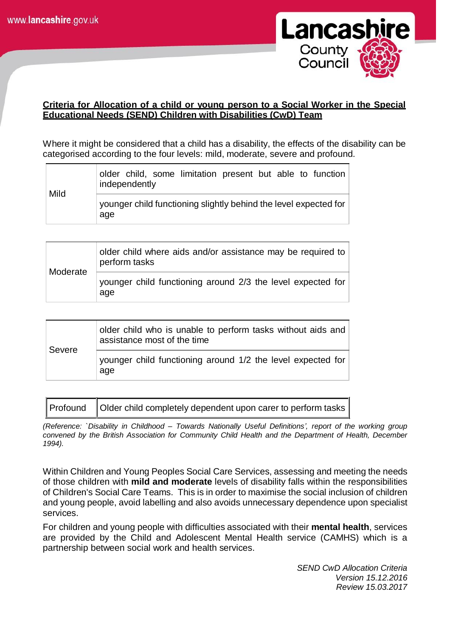

## **Criteria for Allocation of a child or young person to a Social Worker in the Special Educational Needs (SEND) Children with Disabilities (CwD) Team**

Where it might be considered that a child has a disability, the effects of the disability can be categorised according to the four levels: mild, moderate, severe and profound.

| Mild | older child, some limitation present but able to function<br>independently |
|------|----------------------------------------------------------------------------|
|      | younger child functioning slightly behind the level expected for<br>age    |

|          | older child where aids and/or assistance may be required to<br>perform tasks |
|----------|------------------------------------------------------------------------------|
| Moderate | younger child functioning around 2/3 the level expected for<br>age           |

| Severe | older child who is unable to perform tasks without aids and<br>assistance most of the time |
|--------|--------------------------------------------------------------------------------------------|
|        | younger child functioning around 1/2 the level expected for<br>age                         |

| Profound   Older child completely dependent upon carer to perform tasks |
|-------------------------------------------------------------------------|
|-------------------------------------------------------------------------|

*(Reference: `Disability in Childhood – Towards Nationally Useful Definitions', report of the working group convened by the British Association for Community Child Health and the Department of Health, December 1994).*

Within Children and Young Peoples Social Care Services, assessing and meeting the needs of those children with **mild and moderate** levels of disability falls within the responsibilities of Children's Social Care Teams. This is in order to maximise the social inclusion of children and young people, avoid labelling and also avoids unnecessary dependence upon specialist services.

For children and young people with difficulties associated with their **mental health**, services are provided by the Child and Adolescent Mental Health service (CAMHS) which is a partnership between social work and health services.